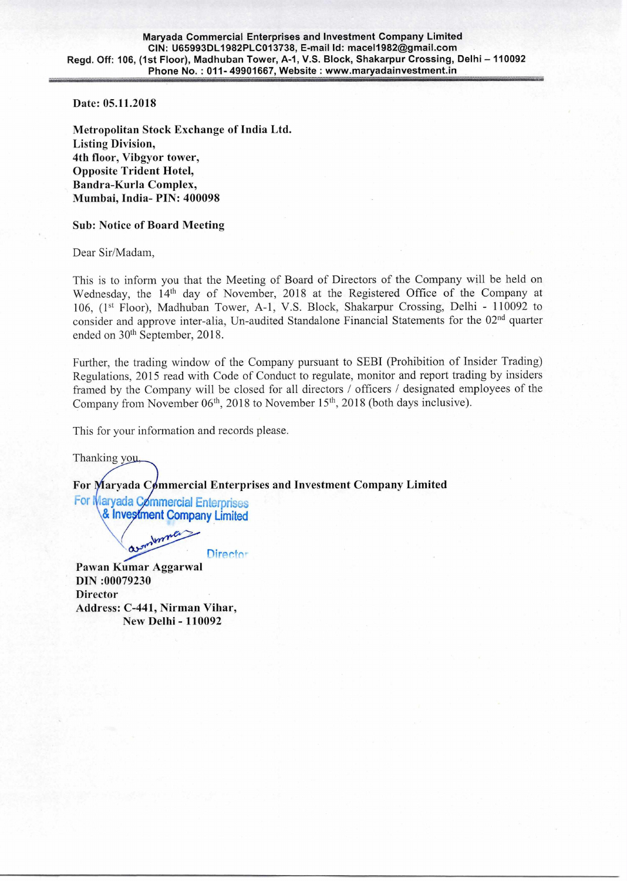"."

**Date: 05.11.2018** 

**Metropolitan Stock Exchange** of India Ltd. **Listing Division, 4th floor, Vibgyor tower, Opposite Trident Hotel, Bandra-Kurla Complex, Mumbai, India- PIN: 400098** 

## **Sub: Notice of Board Meeting**

Dear Sir/Madam,

This is to inform you that the Meeting of Board of Directors of the Company will be held on Wednesday, the 14<sup>th</sup> day of November, 2018 at the Registered Office of the Company at 106, (1<sup>st</sup> Floor), Madhuban Tower, A-1, V.S. Block, Shakarpur Crossing, Delhi - 110092 to consider and approve inter-alia, Un-audited Standalone Financial Statements for the 02<sup>nd</sup> quarter ended on 30<sup>th</sup> September, 2018.

Further, the trading window of the Company pursuant to SEBI (Prohibition of Insider Trading) Regulations, 2015 read with Code of Conduct to regulate, monitor and report trading by insiders framed by the Company will be closed for all directors / officers / designated employees of the Company from November  $06<sup>th</sup>$ , 2018 to November 15<sup>th</sup>, 2018 (both days inclusive).

This for your information and records please.

Thanking you,

For Maryada Commercial Enterprises and Investment Company Limited

**For Maryada Commercial Enterprises**  $&$  Investment Company Limited

Immer Director

**Pawan Kumar Aggarwal DIN :00079230 Director Address: C-441, Nirman Vihar, New Delhi - 110092**